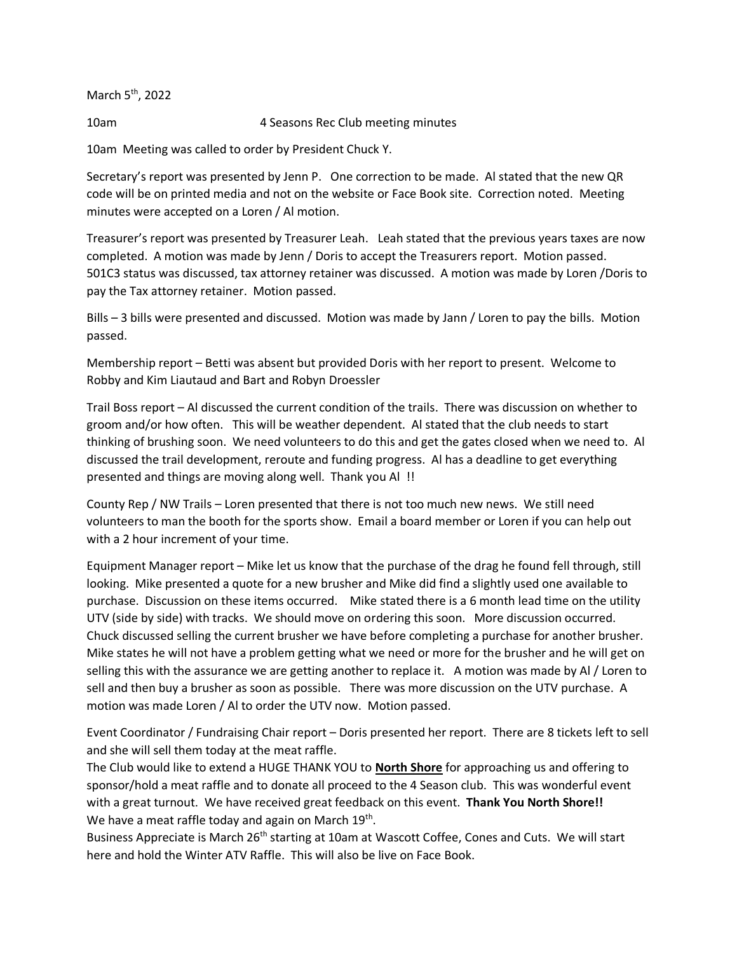March 5<sup>th</sup>, 2022

10am 4 Seasons Rec Club meeting minutes

10am Meeting was called to order by President Chuck Y.

Secretary's report was presented by Jenn P. One correction to be made. Al stated that the new QR code will be on printed media and not on the website or Face Book site. Correction noted. Meeting minutes were accepted on a Loren / Al motion.

Treasurer's report was presented by Treasurer Leah. Leah stated that the previous years taxes are now completed. A motion was made by Jenn / Doris to accept the Treasurers report. Motion passed. 501C3 status was discussed, tax attorney retainer was discussed. A motion was made by Loren /Doris to pay the Tax attorney retainer. Motion passed.

Bills – 3 bills were presented and discussed. Motion was made by Jann / Loren to pay the bills. Motion passed.

Membership report – Betti was absent but provided Doris with her report to present. Welcome to Robby and Kim Liautaud and Bart and Robyn Droessler

Trail Boss report – Al discussed the current condition of the trails. There was discussion on whether to groom and/or how often. This will be weather dependent. Al stated that the club needs to start thinking of brushing soon. We need volunteers to do this and get the gates closed when we need to. Al discussed the trail development, reroute and funding progress. Al has a deadline to get everything presented and things are moving along well. Thank you Al !!

County Rep / NW Trails – Loren presented that there is not too much new news. We still need volunteers to man the booth for the sports show. Email a board member or Loren if you can help out with a 2 hour increment of your time.

Equipment Manager report – Mike let us know that the purchase of the drag he found fell through, still looking. Mike presented a quote for a new brusher and Mike did find a slightly used one available to purchase. Discussion on these items occurred. Mike stated there is a 6 month lead time on the utility UTV (side by side) with tracks. We should move on ordering this soon. More discussion occurred. Chuck discussed selling the current brusher we have before completing a purchase for another brusher. Mike states he will not have a problem getting what we need or more for the brusher and he will get on selling this with the assurance we are getting another to replace it. A motion was made by Al / Loren to sell and then buy a brusher as soon as possible. There was more discussion on the UTV purchase. A motion was made Loren / Al to order the UTV now. Motion passed.

Event Coordinator / Fundraising Chair report – Doris presented her report. There are 8 tickets left to sell and she will sell them today at the meat raffle.

The Club would like to extend a HUGE THANK YOU to **North Shore** for approaching us and offering to sponsor/hold a meat raffle and to donate all proceed to the 4 Season club. This was wonderful event with a great turnout. We have received great feedback on this event. **Thank You North Shore!!** We have a meat raffle today and again on March  $19^{th}$ .

Business Appreciate is March 26<sup>th</sup> starting at 10am at Wascott Coffee, Cones and Cuts. We will start here and hold the Winter ATV Raffle. This will also be live on Face Book.